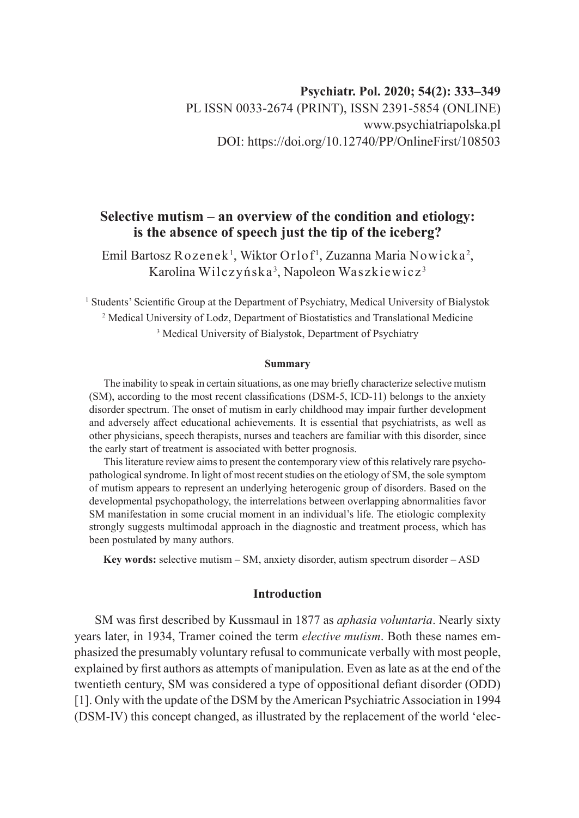# **Psychiatr. Pol. 2020; 54(2): 333–349** PL ISSN 0033-2674 (PRINT), ISSN 2391-5854 (ONLINE) www.psychiatriapolska.pl DOI: https://doi.org/10.12740/PP/OnlineFirst/108503

# **Selective mutism – an overview of the condition and etiology: is the absence of speech just the tip of the iceberg?**

Emil Bartosz Rozenek $^{\rm l}$ , Wiktor Orlof $^{\rm l}$ , Zuzanna Maria Nowicka $^{\rm 2}$ , Karolina Wilczyńska<sup>3</sup>, Napoleon Waszkiewicz<sup>3</sup>

<sup>1</sup> Students' Scientific Group at the Department of Psychiatry, Medical University of Bialystok 2 Medical University of Lodz, Department of Biostatistics and Translational Medicine 3 Medical University of Bialystok, Department of Psychiatry

#### **Summary**

The inability to speak in certain situations, as one may briefly characterize selective mutism (SM), according to the most recent classifications (DSM-5, ICD-11) belongs to the anxiety disorder spectrum. The onset of mutism in early childhood may impair further development and adversely affect educational achievements. It is essential that psychiatrists, as well as other physicians, speech therapists, nurses and teachers are familiar with this disorder, since the early start of treatment is associated with better prognosis.

This literature review aims to present the contemporary view of this relatively rare psychopathological syndrome. In light of most recent studies on the etiology of SM, the sole symptom of mutism appears to represent an underlying heterogenic group of disorders. Based on the developmental psychopathology, the interrelations between overlapping abnormalities favor SM manifestation in some crucial moment in an individual's life. The etiologic complexity strongly suggests multimodal approach in the diagnostic and treatment process, which has been postulated by many authors.

**Key words:** selective mutism – SM, anxiety disorder, autism spectrum disorder – ASD

### **Introduction**

SM was first described by Kussmaul in 1877 as *aphasia voluntaria*. Nearly sixty years later, in 1934, Tramer coined the term *elective mutism*. Both these names emphasized the presumably voluntary refusal to communicate verbally with most people, explained by first authors as attempts of manipulation. Even as late as at the end of the twentieth century, SM was considered a type of oppositional defiant disorder (ODD) [1]. Only with the update of the DSM by the American Psychiatric Association in 1994 (DSM-IV) this concept changed, as illustrated by the replacement of the world 'elec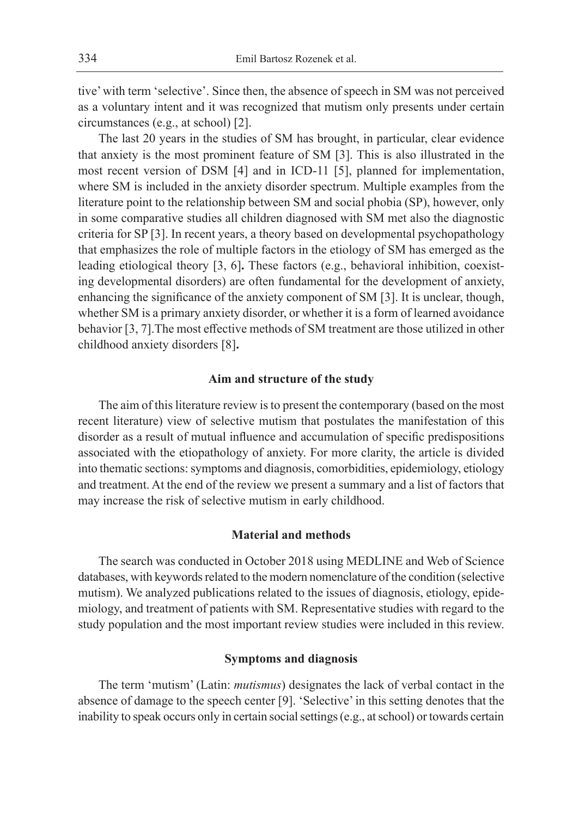tive' with term 'selective'. Since then, the absence of speech in SM was not perceived as a voluntary intent and it was recognized that mutism only presents under certain circumstances (e.g., at school) [2].

The last 20 years in the studies of SM has brought, in particular, clear evidence that anxiety is the most prominent feature of SM [3]. This is also illustrated in the most recent version of DSM [4] and in ICD-11 [5], planned for implementation, where SM is included in the anxiety disorder spectrum. Multiple examples from the literature point to the relationship between SM and social phobia (SP), however, only in some comparative studies all children diagnosed with SM met also the diagnostic criteria for SP [3]. In recent years, a theory based on developmental psychopathology that emphasizes the role of multiple factors in the etiology of SM has emerged as the leading etiological theory [3, 6]**.** These factors (e.g., behavioral inhibition, coexisting developmental disorders) are often fundamental for the development of anxiety, enhancing the significance of the anxiety component of SM [3]. It is unclear, though, whether SM is a primary anxiety disorder, or whether it is a form of learned avoidance behavior [3, 7].The most effective methods of SM treatment are those utilized in other childhood anxiety disorders [8]**.**

### **Aim and structure of the study**

The aim of this literature review is to present the contemporary (based on the most recent literature) view of selective mutism that postulates the manifestation of this disorder as a result of mutual influence and accumulation of specific predispositions associated with the etiopathology of anxiety. For more clarity, the article is divided into thematic sections: symptoms and diagnosis, comorbidities, epidemiology, etiology and treatment. At the end of the review we present a summary and a list of factors that may increase the risk of selective mutism in early childhood.

# **Material and methods**

The search was conducted in October 2018 using MEDLINE and Web of Science databases, with keywords related to the modern nomenclature of the condition (selective mutism). We analyzed publications related to the issues of diagnosis, etiology, epidemiology, and treatment of patients with SM. Representative studies with regard to the study population and the most important review studies were included in this review.

#### **Symptoms and diagnosis**

The term 'mutism' (Latin: *mutismus*) designates the lack of verbal contact in the absence of damage to the speech center [9]. 'Selective' in this setting denotes that the inability to speak occurs only in certain social settings (e.g., at school) or towards certain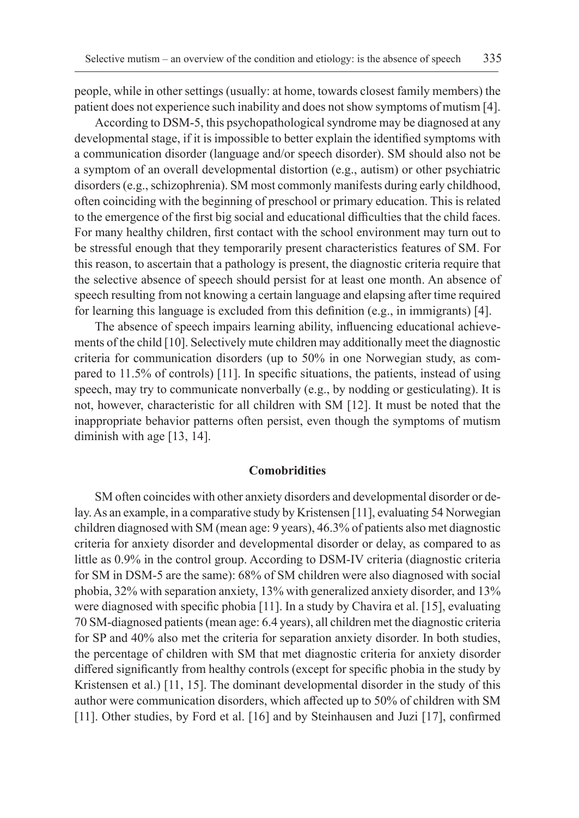people, while in other settings (usually: at home, towards closest family members) the patient does not experience such inability and does not show symptoms of mutism [4].

According to DSM-5, this psychopathological syndrome may be diagnosed at any developmental stage, if it is impossible to better explain the identified symptoms with a communication disorder (language and/or speech disorder). SM should also not be a symptom of an overall developmental distortion (e.g., autism) or other psychiatric disorders (e.g., schizophrenia). SM most commonly manifests during early childhood, often coinciding with the beginning of preschool or primary education. This is related to the emergence of the first big social and educational difficulties that the child faces. For many healthy children, first contact with the school environment may turn out to be stressful enough that they temporarily present characteristics features of SM. For this reason, to ascertain that a pathology is present, the diagnostic criteria require that the selective absence of speech should persist for at least one month. An absence of speech resulting from not knowing a certain language and elapsing after time required for learning this language is excluded from this definition (e.g., in immigrants) [4].

The absence of speech impairs learning ability, influencing educational achievements of the child [10]. Selectively mute children may additionally meet the diagnostic criteria for communication disorders (up to 50% in one Norwegian study, as compared to 11.5% of controls) [11]. In specific situations, the patients, instead of using speech, may try to communicate nonverbally (e.g., by nodding or gesticulating). It is not, however, characteristic for all children with SM [12]. It must be noted that the inappropriate behavior patterns often persist, even though the symptoms of mutism diminish with age [13, 14].

#### **Comobridities**

SM often coincides with other anxiety disorders and developmental disorder or delay. As an example, in a comparative study by Kristensen [11], evaluating 54 Norwegian children diagnosed with SM (mean age: 9 years), 46.3% of patients also met diagnostic criteria for anxiety disorder and developmental disorder or delay, as compared to as little as 0.9% in the control group. According to DSM-IV criteria (diagnostic criteria for SM in DSM-5 are the same): 68% of SM children were also diagnosed with social phobia, 32% with separation anxiety, 13% with generalized anxiety disorder, and 13% were diagnosed with specific phobia [11]. In a study by Chavira et al. [15], evaluating 70 SM-diagnosed patients (mean age: 6.4 years), all children met the diagnostic criteria for SP and 40% also met the criteria for separation anxiety disorder. In both studies, the percentage of children with SM that met diagnostic criteria for anxiety disorder differed significantly from healthy controls (except for specific phobia in the study by Kristensen et al.) [11, 15]. The dominant developmental disorder in the study of this author were communication disorders, which affected up to 50% of children with SM [11]. Other studies, by Ford et al. [16] and by Steinhausen and Juzi [17], confirmed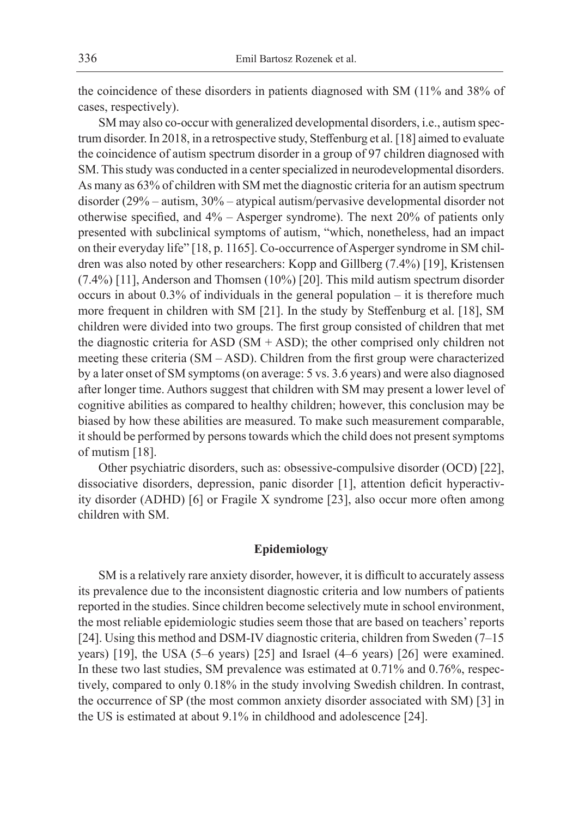the coincidence of these disorders in patients diagnosed with SM (11% and 38% of cases, respectively).

SM may also co-occur with generalized developmental disorders, i.e., autism spectrum disorder. In 2018, in a retrospective study, Steffenburg et al. [18] aimed to evaluate the coincidence of autism spectrum disorder in a group of 97 children diagnosed with SM. This study was conducted in a center specialized in neurodevelopmental disorders. As many as 63% of children with SM met the diagnostic criteria for an autism spectrum disorder (29% – autism, 30% – atypical autism/pervasive developmental disorder not otherwise specified, and 4% – Asperger syndrome). The next 20% of patients only presented with subclinical symptoms of autism, "which, nonetheless, had an impact on their everyday life" [18, p. 1165]. Co-occurrence of Asperger syndrome in SM children was also noted by other researchers: Kopp and Gillberg (7.4%) [19], Kristensen (7.4%) [11], Anderson and Thomsen (10%) [20]. This mild autism spectrum disorder occurs in about 0.3% of individuals in the general population – it is therefore much more frequent in children with SM [21]. In the study by Steffenburg et al. [18], SM children were divided into two groups. The first group consisted of children that met the diagnostic criteria for ASD ( $SM + ASD$ ); the other comprised only children not meeting these criteria (SM – ASD). Children from the first group were characterized by a later onset of SM symptoms (on average: 5 vs. 3.6 years) and were also diagnosed after longer time. Authors suggest that children with SM may present a lower level of cognitive abilities as compared to healthy children; however, this conclusion may be biased by how these abilities are measured. To make such measurement comparable, it should be performed by persons towards which the child does not present symptoms of mutism [18].

Other psychiatric disorders, such as: obsessive-compulsive disorder (OCD) [22], dissociative disorders, depression, panic disorder [1], attention deficit hyperactivity disorder (ADHD) [6] or Fragile X syndrome [23], also occur more often among children with SM.

## **Epidemiology**

SM is a relatively rare anxiety disorder, however, it is difficult to accurately assess its prevalence due to the inconsistent diagnostic criteria and low numbers of patients reported in the studies. Since children become selectively mute in school environment, the most reliable epidemiologic studies seem those that are based on teachers' reports [24]. Using this method and DSM-IV diagnostic criteria, children from Sweden (7–15 years) [19], the USA (5–6 years) [25] and Israel (4–6 years) [26] were examined. In these two last studies, SM prevalence was estimated at 0.71% and 0.76%, respectively, compared to only 0.18% in the study involving Swedish children. In contrast, the occurrence of SP (the most common anxiety disorder associated with SM) [3] in the US is estimated at about 9.1% in childhood and adolescence [24].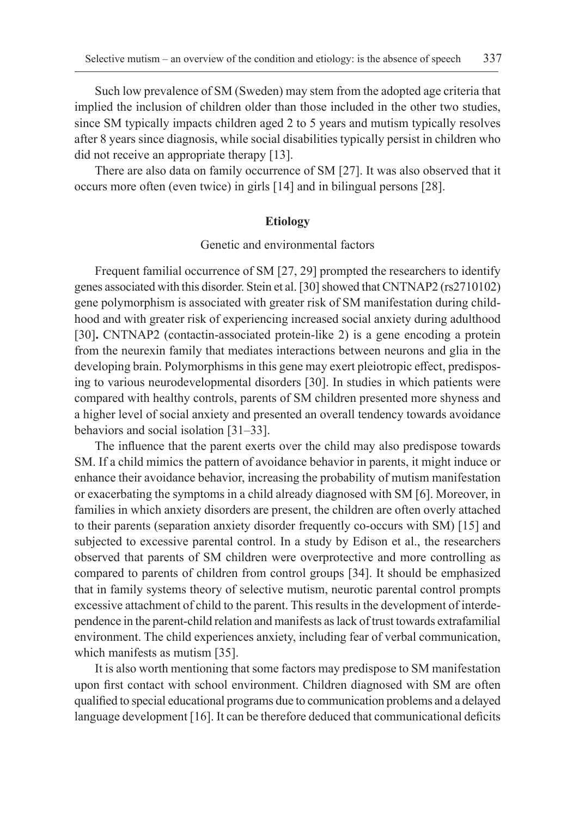Such low prevalence of SM (Sweden) may stem from the adopted age criteria that implied the inclusion of children older than those included in the other two studies, since SM typically impacts children aged 2 to 5 years and mutism typically resolves after 8 years since diagnosis, while social disabilities typically persist in children who did not receive an appropriate therapy [13].

There are also data on family occurrence of SM [27]. It was also observed that it occurs more often (even twice) in girls [14] and in bilingual persons [28].

#### **Etiology**

Genetic and environmental factors

Frequent familial occurrence of SM [27, 29] prompted the researchers to identify genes associated with this disorder. Stein et al. [30] showed that CNTNAP2 (rs2710102) gene polymorphism is associated with greater risk of SM manifestation during childhood and with greater risk of experiencing increased social anxiety during adulthood [30]**.** CNTNAP2 (contactin-associated protein-like 2) is a gene encoding a protein from the neurexin family that mediates interactions between neurons and glia in the developing brain. Polymorphisms in this gene may exert pleiotropic effect, predisposing to various neurodevelopmental disorders [30]. In studies in which patients were compared with healthy controls, parents of SM children presented more shyness and a higher level of social anxiety and presented an overall tendency towards avoidance behaviors and social isolation [31–33].

The influence that the parent exerts over the child may also predispose towards SM. If a child mimics the pattern of avoidance behavior in parents, it might induce or enhance their avoidance behavior, increasing the probability of mutism manifestation or exacerbating the symptoms in a child already diagnosed with SM [6]. Moreover, in families in which anxiety disorders are present, the children are often overly attached to their parents (separation anxiety disorder frequently co-occurs with SM) [15] and subjected to excessive parental control. In a study by Edison et al., the researchers observed that parents of SM children were overprotective and more controlling as compared to parents of children from control groups [34]. It should be emphasized that in family systems theory of selective mutism, neurotic parental control prompts excessive attachment of child to the parent. This results in the development of interdependence in the parent-child relation and manifests as lack of trust towards extrafamilial environment. The child experiences anxiety, including fear of verbal communication, which manifests as mutism [35].

It is also worth mentioning that some factors may predispose to SM manifestation upon first contact with school environment. Children diagnosed with SM are often qualified to special educational programs due to communication problems and a delayed language development [16]. It can be therefore deduced that communicational deficits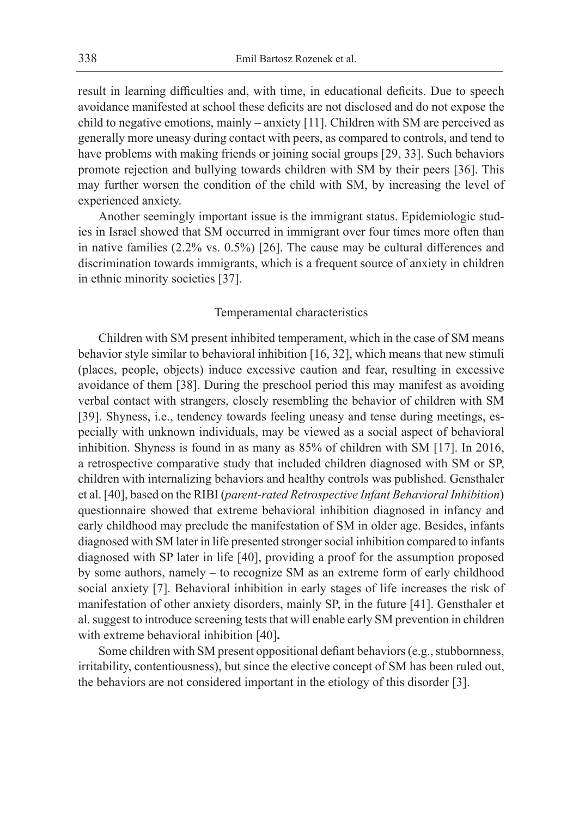result in learning difficulties and, with time, in educational deficits. Due to speech avoidance manifested at school these deficits are not disclosed and do not expose the child to negative emotions, mainly – anxiety [11]. Children with SM are perceived as generally more uneasy during contact with peers, as compared to controls, and tend to have problems with making friends or joining social groups [29, 33]. Such behaviors promote rejection and bullying towards children with SM by their peers [36]. This may further worsen the condition of the child with SM, by increasing the level of experienced anxiety.

Another seemingly important issue is the immigrant status. Epidemiologic studies in Israel showed that SM occurred in immigrant over four times more often than in native families (2.2% vs. 0.5%) [26]. The cause may be cultural differences and discrimination towards immigrants, which is a frequent source of anxiety in children in ethnic minority societies [37].

### Temperamental characteristics

Children with SM present inhibited temperament, which in the case of SM means behavior style similar to behavioral inhibition [16, 32], which means that new stimuli (places, people, objects) induce excessive caution and fear, resulting in excessive avoidance of them [38]. During the preschool period this may manifest as avoiding verbal contact with strangers, closely resembling the behavior of children with SM [39]. Shyness, i.e., tendency towards feeling uneasy and tense during meetings, especially with unknown individuals, may be viewed as a social aspect of behavioral inhibition. Shyness is found in as many as 85% of children with SM [17]. In 2016, a retrospective comparative study that included children diagnosed with SM or SP, children with internalizing behaviors and healthy controls was published. Gensthaler et al. [40], based on the RIBI (*parent-rated Retrospective Infant Behavioral Inhibition*) questionnaire showed that extreme behavioral inhibition diagnosed in infancy and early childhood may preclude the manifestation of SM in older age. Besides, infants diagnosed with SM later in life presented stronger social inhibition compared to infants diagnosed with SP later in life [40], providing a proof for the assumption proposed by some authors, namely – to recognize SM as an extreme form of early childhood social anxiety [7]. Behavioral inhibition in early stages of life increases the risk of manifestation of other anxiety disorders, mainly SP, in the future [41]. Gensthaler et al. suggest to introduce screening tests that will enable early SM prevention in children with extreme behavioral inhibition [40]**.**

Some children with SM present oppositional defiant behaviors (e.g., stubbornness, irritability, contentiousness), but since the elective concept of SM has been ruled out, the behaviors are not considered important in the etiology of this disorder [3].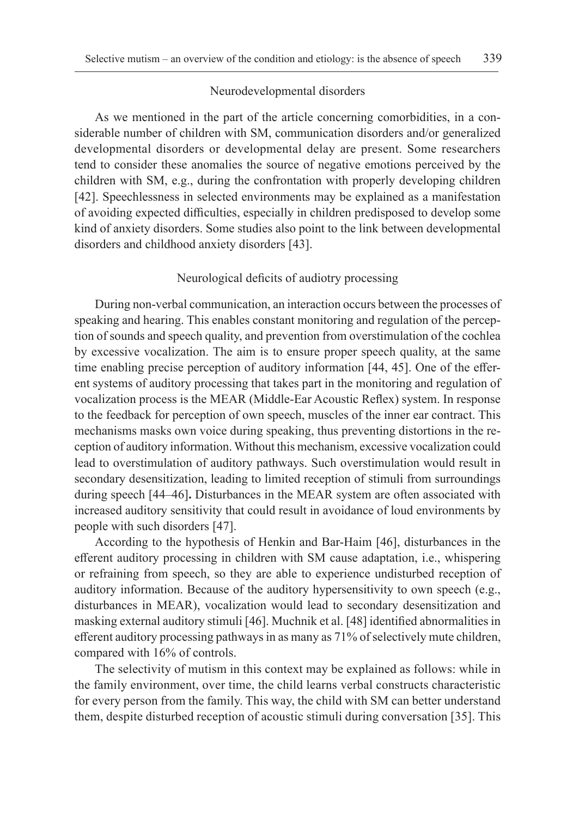#### Neurodevelopmental disorders

As we mentioned in the part of the article concerning comorbidities, in a considerable number of children with SM, communication disorders and/or generalized developmental disorders or developmental delay are present. Some researchers tend to consider these anomalies the source of negative emotions perceived by the children with SM, e.g., during the confrontation with properly developing children [42]. Speechlessness in selected environments may be explained as a manifestation of avoiding expected difficulties, especially in children predisposed to develop some kind of anxiety disorders. Some studies also point to the link between developmental disorders and childhood anxiety disorders [43].

#### Neurological deficits of audiotry processing

During non-verbal communication, an interaction occurs between the processes of speaking and hearing. This enables constant monitoring and regulation of the perception of sounds and speech quality, and prevention from overstimulation of the cochlea by excessive vocalization. The aim is to ensure proper speech quality, at the same time enabling precise perception of auditory information [44, 45]. One of the efferent systems of auditory processing that takes part in the monitoring and regulation of vocalization process is the MEAR (Middle-Ear Acoustic Reflex) system. In response to the feedback for perception of own speech, muscles of the inner ear contract. This mechanisms masks own voice during speaking, thus preventing distortions in the reception of auditory information. Without this mechanism, excessive vocalization could lead to overstimulation of auditory pathways. Such overstimulation would result in secondary desensitization, leading to limited reception of stimuli from surroundings during speech [44–46]**.** Disturbances in the MEAR system are often associated with increased auditory sensitivity that could result in avoidance of loud environments by people with such disorders [47].

According to the hypothesis of Henkin and Bar-Haim [46], disturbances in the efferent auditory processing in children with SM cause adaptation, i.e., whispering or refraining from speech, so they are able to experience undisturbed reception of auditory information. Because of the auditory hypersensitivity to own speech (e.g., disturbances in MEAR), vocalization would lead to secondary desensitization and masking external auditory stimuli [46]. Muchnik et al. [48] identified abnormalities in efferent auditory processing pathways in as many as 71% of selectively mute children, compared with 16% of controls.

The selectivity of mutism in this context may be explained as follows: while in the family environment, over time, the child learns verbal constructs characteristic for every person from the family. This way, the child with SM can better understand them, despite disturbed reception of acoustic stimuli during conversation [35]. This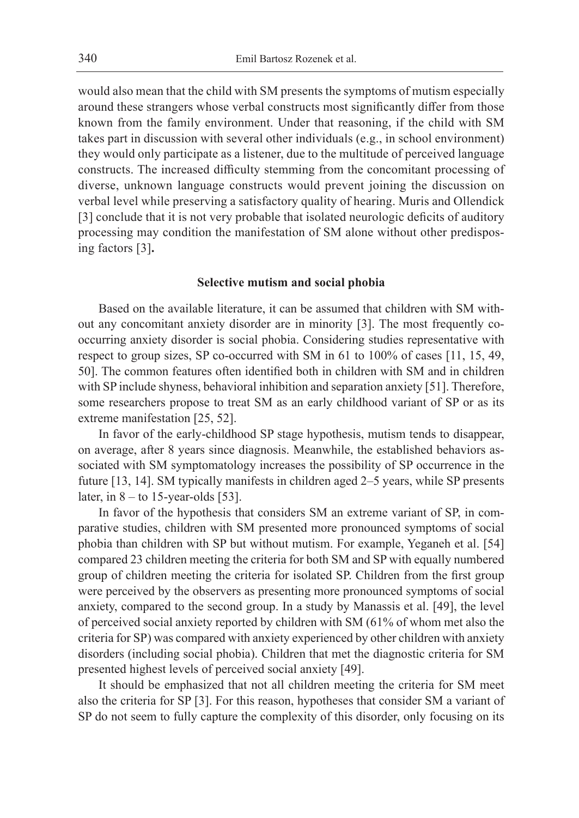would also mean that the child with SM presents the symptoms of mutism especially around these strangers whose verbal constructs most significantly differ from those known from the family environment. Under that reasoning, if the child with SM takes part in discussion with several other individuals (e.g., in school environment) they would only participate as a listener, due to the multitude of perceived language constructs. The increased difficulty stemming from the concomitant processing of diverse, unknown language constructs would prevent joining the discussion on verbal level while preserving a satisfactory quality of hearing. Muris and Ollendick [3] conclude that it is not very probable that isolated neurologic deficits of auditory processing may condition the manifestation of SM alone without other predisposing factors [3]**.**

#### **Selective mutism and social phobia**

Based on the available literature, it can be assumed that children with SM without any concomitant anxiety disorder are in minority [3]. The most frequently cooccurring anxiety disorder is social phobia. Considering studies representative with respect to group sizes, SP co-occurred with SM in 61 to 100% of cases [11, 15, 49, 50]. The common features often identified both in children with SM and in children with SP include shyness, behavioral inhibition and separation anxiety [51]. Therefore, some researchers propose to treat SM as an early childhood variant of SP or as its extreme manifestation [25, 52].

In favor of the early-childhood SP stage hypothesis, mutism tends to disappear, on average, after 8 years since diagnosis. Meanwhile, the established behaviors associated with SM symptomatology increases the possibility of SP occurrence in the future [13, 14]. SM typically manifests in children aged 2–5 years, while SP presents later, in  $8 -$  to 15-year-olds [53].

In favor of the hypothesis that considers SM an extreme variant of SP, in comparative studies, children with SM presented more pronounced symptoms of social phobia than children with SP but without mutism. For example, Yeganeh et al. [54] compared 23 children meeting the criteria for both SM and SP with equally numbered group of children meeting the criteria for isolated SP. Children from the first group were perceived by the observers as presenting more pronounced symptoms of social anxiety, compared to the second group. In a study by Manassis et al. [49], the level of perceived social anxiety reported by children with SM (61% of whom met also the criteria for SP) was compared with anxiety experienced by other children with anxiety disorders (including social phobia). Children that met the diagnostic criteria for SM presented highest levels of perceived social anxiety [49].

It should be emphasized that not all children meeting the criteria for SM meet also the criteria for SP [3]. For this reason, hypotheses that consider SM a variant of SP do not seem to fully capture the complexity of this disorder, only focusing on its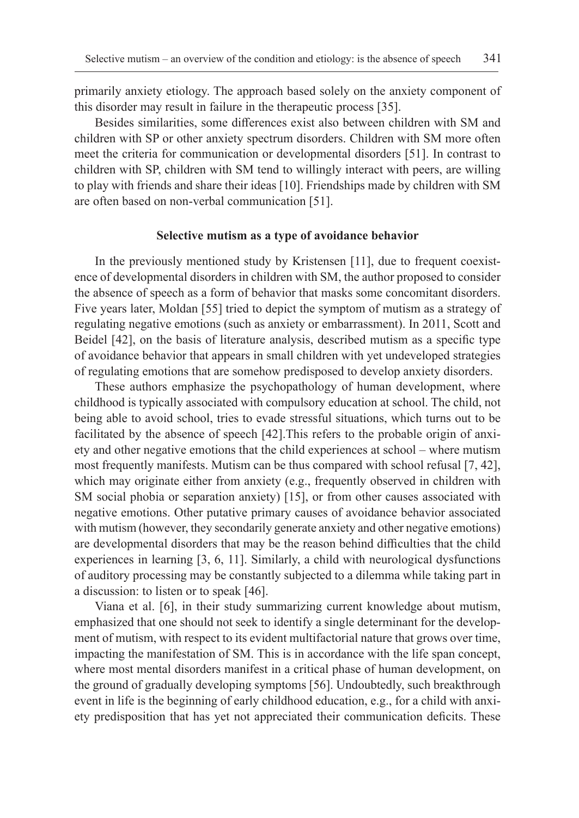primarily anxiety etiology. The approach based solely on the anxiety component of this disorder may result in failure in the therapeutic process [35].

Besides similarities, some differences exist also between children with SM and children with SP or other anxiety spectrum disorders. Children with SM more often meet the criteria for communication or developmental disorders [51]. In contrast to children with SP, children with SM tend to willingly interact with peers, are willing to play with friends and share their ideas [10]. Friendships made by children with SM are often based on non-verbal communication [51].

#### **Selective mutism as a type of avoidance behavior**

In the previously mentioned study by Kristensen [11], due to frequent coexistence of developmental disorders in children with SM, the author proposed to consider the absence of speech as a form of behavior that masks some concomitant disorders. Five years later, Moldan [55] tried to depict the symptom of mutism as a strategy of regulating negative emotions (such as anxiety or embarrassment). In 2011, Scott and Beidel [42], on the basis of literature analysis, described mutism as a specific type of avoidance behavior that appears in small children with yet undeveloped strategies of regulating emotions that are somehow predisposed to develop anxiety disorders.

These authors emphasize the psychopathology of human development, where childhood is typically associated with compulsory education at school. The child, not being able to avoid school, tries to evade stressful situations, which turns out to be facilitated by the absence of speech [42].This refers to the probable origin of anxiety and other negative emotions that the child experiences at school – where mutism most frequently manifests. Mutism can be thus compared with school refusal [7, 42], which may originate either from anxiety (e.g., frequently observed in children with SM social phobia or separation anxiety) [15], or from other causes associated with negative emotions. Other putative primary causes of avoidance behavior associated with mutism (however, they secondarily generate anxiety and other negative emotions) are developmental disorders that may be the reason behind difficulties that the child experiences in learning [3, 6, 11]. Similarly, a child with neurological dysfunctions of auditory processing may be constantly subjected to a dilemma while taking part in a discussion: to listen or to speak [46].

Viana et al. [6], in their study summarizing current knowledge about mutism, emphasized that one should not seek to identify a single determinant for the development of mutism, with respect to its evident multifactorial nature that grows over time, impacting the manifestation of SM. This is in accordance with the life span concept, where most mental disorders manifest in a critical phase of human development, on the ground of gradually developing symptoms [56]. Undoubtedly, such breakthrough event in life is the beginning of early childhood education, e.g., for a child with anxiety predisposition that has yet not appreciated their communication deficits. These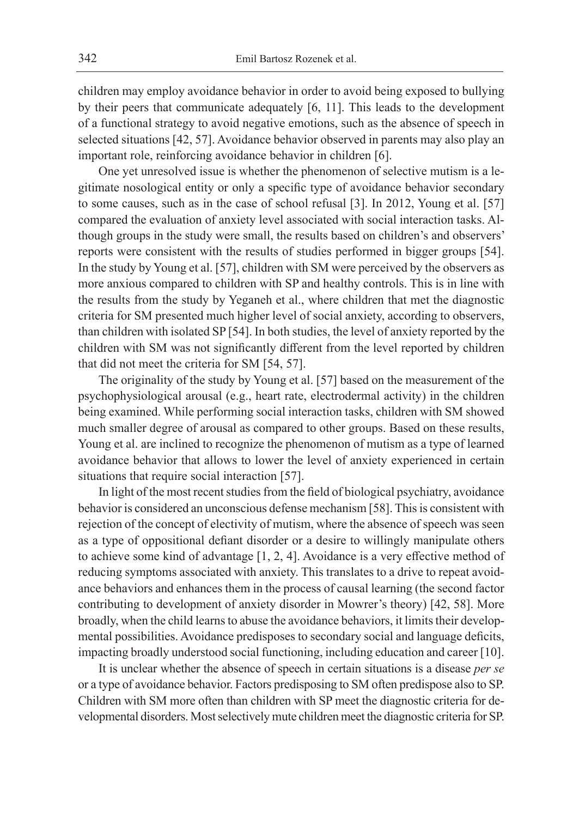children may employ avoidance behavior in order to avoid being exposed to bullying by their peers that communicate adequately [6, 11]. This leads to the development of a functional strategy to avoid negative emotions, such as the absence of speech in selected situations [42, 57]. Avoidance behavior observed in parents may also play an important role, reinforcing avoidance behavior in children [6].

One yet unresolved issue is whether the phenomenon of selective mutism is a legitimate nosological entity or only a specific type of avoidance behavior secondary to some causes, such as in the case of school refusal [3]. In 2012, Young et al. [57] compared the evaluation of anxiety level associated with social interaction tasks. Although groups in the study were small, the results based on children's and observers' reports were consistent with the results of studies performed in bigger groups [54]. In the study by Young et al. [57], children with SM were perceived by the observers as more anxious compared to children with SP and healthy controls. This is in line with the results from the study by Yeganeh et al., where children that met the diagnostic criteria for SM presented much higher level of social anxiety, according to observers, than children with isolated SP [54]. In both studies, the level of anxiety reported by the children with SM was not significantly different from the level reported by children that did not meet the criteria for SM [54, 57].

The originality of the study by Young et al. [57] based on the measurement of the psychophysiological arousal (e.g., heart rate, electrodermal activity) in the children being examined. While performing social interaction tasks, children with SM showed much smaller degree of arousal as compared to other groups. Based on these results, Young et al. are inclined to recognize the phenomenon of mutism as a type of learned avoidance behavior that allows to lower the level of anxiety experienced in certain situations that require social interaction [57].

In light of the most recent studies from the field of biological psychiatry, avoidance behavior is considered an unconscious defense mechanism [58]. This is consistent with rejection of the concept of electivity of mutism, where the absence of speech was seen as a type of oppositional defiant disorder or a desire to willingly manipulate others to achieve some kind of advantage [1, 2, 4]. Avoidance is a very effective method of reducing symptoms associated with anxiety. This translates to a drive to repeat avoidance behaviors and enhances them in the process of causal learning (the second factor contributing to development of anxiety disorder in Mowrer's theory) [42, 58]. More broadly, when the child learns to abuse the avoidance behaviors, it limits their developmental possibilities. Avoidance predisposes to secondary social and language deficits, impacting broadly understood social functioning, including education and career [10].

It is unclear whether the absence of speech in certain situations is a disease *per se* or a type of avoidance behavior. Factors predisposing to SM often predispose also to SP. Children with SM more often than children with SP meet the diagnostic criteria for developmental disorders. Most selectively mute children meet the diagnostic criteria for SP.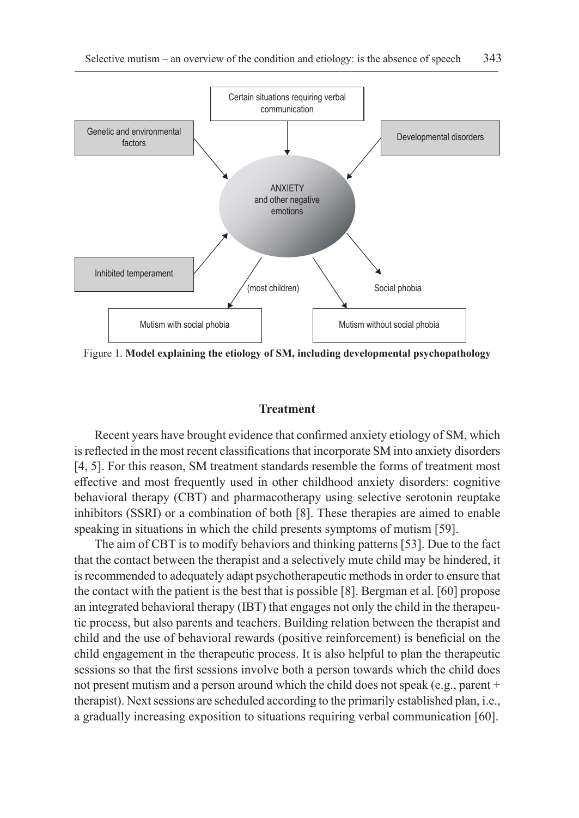

Figure 1. **Model explaining the etiology of SM, including developmental psychopathology**

#### **Treatment**

Recent years have brought evidence that confirmed anxiety etiology of SM, which is reflected in the most recent classifications that incorporate SM into anxiety disorders [4, 5]. For this reason, SM treatment standards resemble the forms of treatment most effective and most frequently used in other childhood anxiety disorders: cognitive behavioral therapy (CBT) and pharmacotherapy using selective serotonin reuptake inhibitors (SSRI) or a combination of both [8]. These therapies are aimed to enable speaking in situations in which the child presents symptoms of mutism [59].

The aim of CBT is to modify behaviors and thinking patterns [53]. Due to the fact that the contact between the therapist and a selectively mute child may be hindered, it is recommended to adequately adapt psychotherapeutic methods in order to ensure that the contact with the patient is the best that is possible [8]. Bergman et al. [60] propose an integrated behavioral therapy (IBT) that engages not only the child in the therapeutic process, but also parents and teachers. Building relation between the therapist and child and the use of behavioral rewards (positive reinforcement) is beneficial on the child engagement in the therapeutic process. It is also helpful to plan the therapeutic sessions so that the first sessions involve both a person towards which the child does not present mutism and a person around which the child does not speak (e.g., parent + therapist). Next sessions are scheduled according to the primarily established plan, i.e., a gradually increasing exposition to situations requiring verbal communication [60].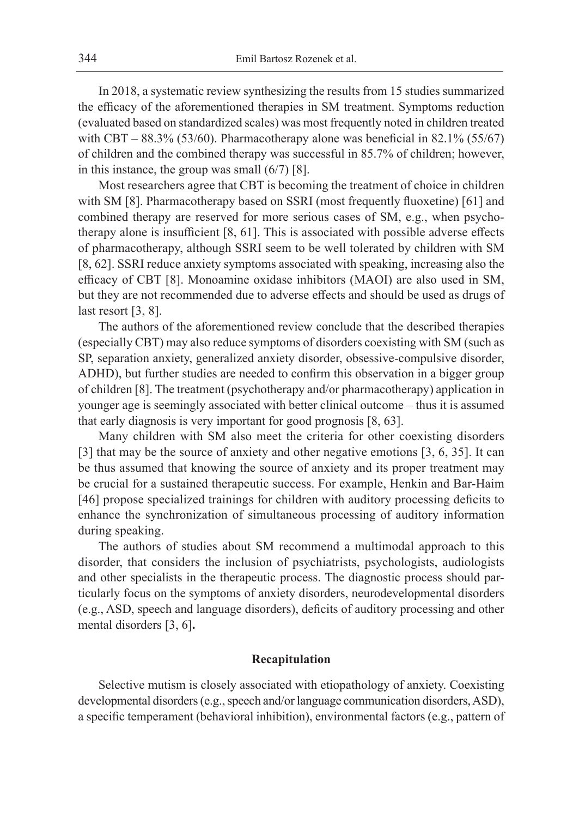In 2018, a systematic review synthesizing the results from 15 studies summarized the efficacy of the aforementioned therapies in SM treatment. Symptoms reduction (evaluated based on standardized scales) was most frequently noted in children treated with CBT –  $88.3\%$  (53/60). Pharmacotherapy alone was beneficial in 82.1% (55/67) of children and the combined therapy was successful in 85.7% of children; however, in this instance, the group was small (6/7) [8].

Most researchers agree that CBT is becoming the treatment of choice in children with SM [8]. Pharmacotherapy based on SSRI (most frequently fluoxetine) [61] and combined therapy are reserved for more serious cases of SM, e.g., when psychotherapy alone is insufficient [8, 61]. This is associated with possible adverse effects of pharmacotherapy, although SSRI seem to be well tolerated by children with SM [8, 62]. SSRI reduce anxiety symptoms associated with speaking, increasing also the efficacy of CBT [8]. Monoamine oxidase inhibitors (MAOI) are also used in SM, but they are not recommended due to adverse effects and should be used as drugs of last resort [3, 8].

The authors of the aforementioned review conclude that the described therapies (especially CBT) may also reduce symptoms of disorders coexisting with SM (such as SP, separation anxiety, generalized anxiety disorder, obsessive-compulsive disorder, ADHD), but further studies are needed to confirm this observation in a bigger group of children [8]. The treatment (psychotherapy and/or pharmacotherapy) application in younger age is seemingly associated with better clinical outcome – thus it is assumed that early diagnosis is very important for good prognosis [8, 63].

Many children with SM also meet the criteria for other coexisting disorders [3] that may be the source of anxiety and other negative emotions [3, 6, 35]. It can be thus assumed that knowing the source of anxiety and its proper treatment may be crucial for a sustained therapeutic success. For example, Henkin and Bar-Haim [46] propose specialized trainings for children with auditory processing deficits to enhance the synchronization of simultaneous processing of auditory information during speaking.

The authors of studies about SM recommend a multimodal approach to this disorder, that considers the inclusion of psychiatrists, psychologists, audiologists and other specialists in the therapeutic process. The diagnostic process should particularly focus on the symptoms of anxiety disorders, neurodevelopmental disorders (e.g., ASD, speech and language disorders), deficits of auditory processing and other mental disorders [3, 6]**.**

### **Recapitulation**

Selective mutism is closely associated with etiopathology of anxiety. Coexisting developmental disorders (e.g., speech and/or language communication disorders, ASD), a specific temperament (behavioral inhibition), environmental factors (e.g., pattern of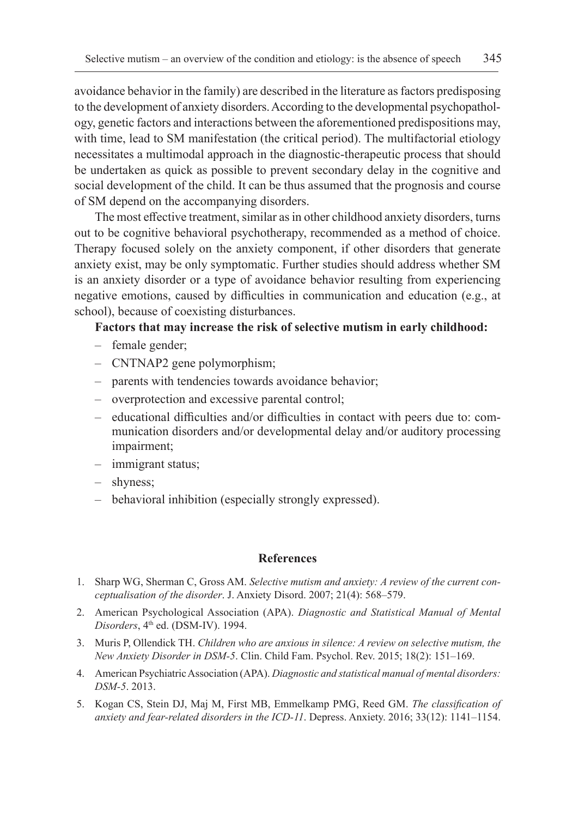avoidance behavior in the family) are described in the literature as factors predisposing to the development of anxiety disorders. According to the developmental psychopathology, genetic factors and interactions between the aforementioned predispositions may, with time, lead to SM manifestation (the critical period). The multifactorial etiology necessitates a multimodal approach in the diagnostic-therapeutic process that should be undertaken as quick as possible to prevent secondary delay in the cognitive and social development of the child. It can be thus assumed that the prognosis and course of SM depend on the accompanying disorders.

The most effective treatment, similar as in other childhood anxiety disorders, turns out to be cognitive behavioral psychotherapy, recommended as a method of choice. Therapy focused solely on the anxiety component, if other disorders that generate anxiety exist, may be only symptomatic. Further studies should address whether SM is an anxiety disorder or a type of avoidance behavior resulting from experiencing negative emotions, caused by difficulties in communication and education (e.g., at school), because of coexisting disturbances.

# **Factors that may increase the risk of selective mutism in early childhood:**

- female gender;
- CNTNAP2 gene polymorphism;
- parents with tendencies towards avoidance behavior;
- overprotection and excessive parental control;
- educational difficulties and/or difficulties in contact with peers due to: communication disorders and/or developmental delay and/or auditory processing impairment;
- immigrant status;
- shyness;
- behavioral inhibition (especially strongly expressed).

#### **References**

- 1. Sharp WG, Sherman C, Gross AM. *Selective mutism and anxiety: A review of the current conceptualisation of the disorder*. J. Anxiety Disord. 2007; 21(4): 568–579.
- 2. American Psychological Association (APA). *Diagnostic and Statistical Manual of Mental Disorders*, 4<sup>th</sup> ed. (DSM-IV). 1994.
- 3. Muris P, Ollendick TH. *Children who are anxious in silence: A review on selective mutism, the New Anxiety Disorder in DSM-5*. Clin. Child Fam. Psychol. Rev. 2015; 18(2): 151–169.
- 4. American Psychiatric Association (APA). *Diagnostic and statistical manual of mental disorders: DSM-5*. 2013.
- 5. Kogan CS, Stein DJ, Maj M, First MB, Emmelkamp PMG, Reed GM. *The classification of anxiety and fear-related disorders in the ICD-11*. Depress. Anxiety. 2016; 33(12): 1141–1154.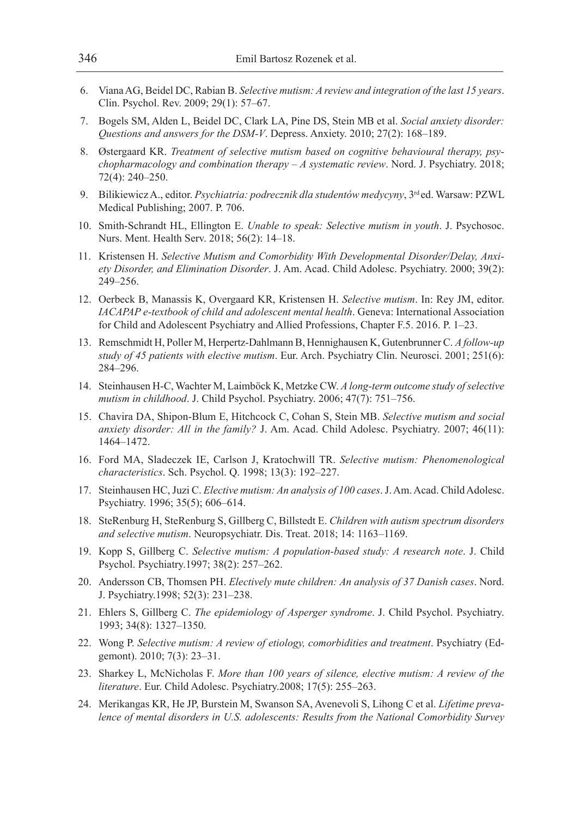- 6. Viana AG, Beidel DC, Rabian B. *Selective mutism: A review and integration of the last 15 years*. Clin. Psychol. Rev. 2009; 29(1): 57–67.
- 7. Bogels SM, Alden L, Beidel DC, Clark LA, Pine DS, Stein MB et al. *Social anxiety disorder: Questions and answers for the DSM-V*. Depress. Anxiety. 2010; 27(2): 168–189.
- 8. Østergaard KR. *Treatment of selective mutism based on cognitive behavioural therapy, psychopharmacology and combination therapy – A systematic review*. Nord. J. Psychiatry. 2018; 72(4): 240–250.
- 9. Bilikiewicz A., editor. *Psychiatria: podrecznik dla studentów medycyny*, 3<sup>rd</sup> ed. Warsaw: PZWL Medical Publishing; 2007. P. 706.
- 10. Smith-Schrandt HL, Ellington E. *Unable to speak: Selective mutism in youth*. J. Psychosoc. Nurs. Ment. Health Serv. 2018; 56(2): 14–18.
- 11. Kristensen H. *Selective Mutism and Comorbidity With Developmental Disorder/Delay, Anxiety Disorder, and Elimination Disorder*. J. Am. Acad. Child Adolesc. Psychiatry. 2000; 39(2): 249–256.
- 12. Oerbeck B, Manassis K, Overgaard KR, Kristensen H. *Selective mutism*. In: Rey JM, editor. *IACAPAP e-textbook of child and adolescent mental health*. Geneva: International Association for Child and Adolescent Psychiatry and Allied Professions, Chapter F.5. 2016. P. 1–23.
- 13. Remschmidt H, Poller M, Herpertz-Dahlmann B, Hennighausen K, Gutenbrunner C. *A follow-up study of 45 patients with elective mutism*. Eur. Arch. Psychiatry Clin. Neurosci. 2001; 251(6): 284–296.
- 14. Steinhausen H-C, Wachter M, Laimböck K, Metzke CW. *A long-term outcome study of selective mutism in childhood*. J. Child Psychol. Psychiatry. 2006; 47(7): 751–756.
- 15. Chavira DA, Shipon-Blum E, Hitchcock C, Cohan S, Stein MB. *Selective mutism and social anxiety disorder: All in the family?* J. Am. Acad. Child Adolesc. Psychiatry. 2007; 46(11): 1464–1472.
- 16. Ford MA, Sladeczek IE, Carlson J, Kratochwill TR. *Selective mutism: Phenomenological characteristics*. Sch. Psychol. Q. 1998; 13(3): 192–227.
- 17. Steinhausen HC, Juzi C. *Elective mutism: An analysis of 100 cases*. J. Am. Acad. Child Adolesc. Psychiatry. 1996; 35(5); 606–614.
- 18. SteRenburg H, SteRenburg S, Gillberg C, Billstedt E. *Children with autism spectrum disorders and selective mutism*. Neuropsychiatr. Dis. Treat. 2018; 14: 1163–1169.
- 19. Kopp S, Gillberg C. *Selective mutism: A population-based study: A research note*. J. Child Psychol. Psychiatry.1997; 38(2): 257–262.
- 20. Andersson CB, Thomsen PH. *Electively mute children: An analysis of 37 Danish cases*. Nord. J. Psychiatry.1998; 52(3): 231–238.
- 21. Ehlers S, Gillberg C. *The epidemiology of Asperger syndrome*. J. Child Psychol. Psychiatry. 1993; 34(8): 1327–1350.
- 22. Wong P. *Selective mutism: A review of etiology, comorbidities and treatment*. Psychiatry (Edgemont). 2010; 7(3): 23–31.
- 23. Sharkey L, McNicholas F. *More than 100 years of silence, elective mutism: A review of the literature*. Eur. Child Adolesc. Psychiatry.2008; 17(5): 255–263.
- 24. Merikangas KR, He JP, Burstein M, Swanson SA, Avenevoli S, Lihong C et al. *Lifetime prevalence of mental disorders in U.S. adolescents: Results from the National Comorbidity Survey*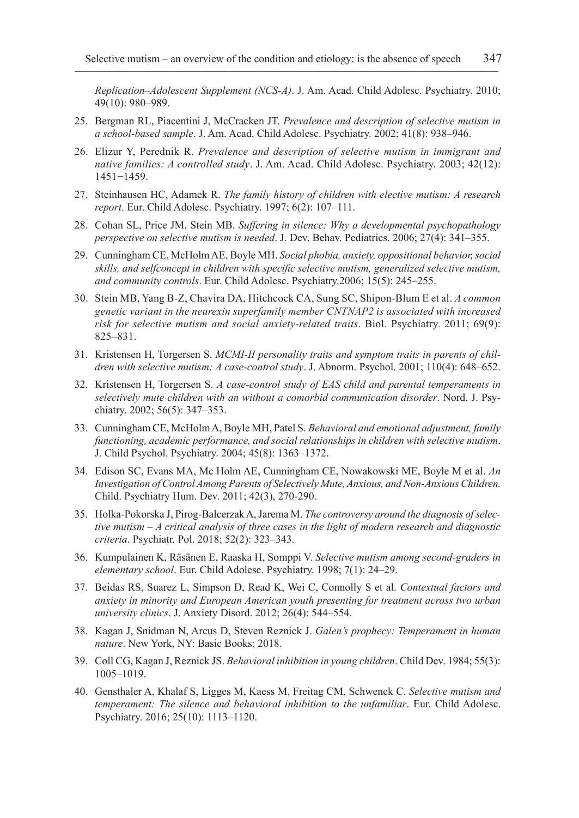*Replication–Adolescent Supplement (NCS-A)*. J. Am. Acad. Child Adolesc. Psychiatry. 2010; 49(10): 980–989.

- 25. Bergman RL, Piacentini J, McCracken JT. *Prevalence and description of selective mutism in a school-based sample*. J. Am. Acad. Child Adolesc. Psychiatry. 2002; 41(8): 938–946.
- 26. Elizur Y, Perednik R. *Prevalence and description of selective mutism in immigrant and native families: A controlled study*. J. Am. Acad. Child Adolesc. Psychiatry. 2003; 42(12): 1451−1459.
- 27. Steinhausen HC, Adamek R. *The family history of children with elective mutism: A research report*. Eur. Child Adolesc. Psychiatry. 1997; 6(2): 107–111.
- 28. Cohan SL, Price JM, Stein MB. *Suffering in silence: Why a developmental psychopathology perspective on selective mutism is needed*. J. Dev. Behav. Pediatrics. 2006; 27(4): 341–355.
- 29. Cunningham CE, McHolm AE, Boyle MH. *Social phobia, anxiety, oppositional behavior, social skills, and selfconcept in children with specific selective mutism, generalized selective mutism, and community controls*. Eur. Child Adolesc. Psychiatry.2006; 15(5): 245–255.
- 30. Stein MB, Yang B-Z, Chavira DA, Hitchcock CA, Sung SC, Shipon-Blum E et al. *A common genetic variant in the neurexin superfamily member CNTNAP2 is associated with increased risk for selective mutism and social anxiety-related traits*. Biol. Psychiatry. 2011; 69(9): 825–831.
- 31. Kristensen H, Torgersen S. *MCMI-II personality traits and symptom traits in parents of children with selective mutism: A case-control study*. J. Abnorm. Psychol. 2001; 110(4): 648–652.
- 32. Kristensen H, Torgersen S. *A case-control study of EAS child and parental temperaments in selectively mute children with an without a comorbid communication disorder*. Nord. J. Psychiatry. 2002; 56(5): 347–353.
- 33. Cunningham CE, McHolm A, Boyle MH, Patel S. *Behavioral and emotional adjustment, family functioning, academic performance, and social relationships in children with selective mutism*. J. Child Psychol. Psychiatry. 2004; 45(8): 1363–1372.
- 34. Edison SC, Evans MA, Mc Holm AE, Cunningham CE, Nowakowski ME, Boyle M et al. *An Investigation of Control Among Parents of Selectively Mute, Anxious, and Non-Anxious Children.*  Child. Psychiatry Hum. Dev. 2011; 42(3), 270-290.
- 35. Holka-Pokorska J, Pirog-Balcerzak A, Jarema M. *The controversy around the diagnosis of selective mutism – A critical analysis of three cases in the light of modern research and diagnostic criteria*. Psychiatr. Pol. 2018; 52(2): 323–343.
- 36. Kumpulainen K, Räsänen E, Raaska H, Somppi V. *Selective mutism among second-graders in elementary school*. Eur. Child Adolesc. Psychiatry. 1998; 7(1): 24–29.
- 37. Beidas RS, Suarez L, Simpson D, Read K, Wei C, Connolly S et al. *Contextual factors and anxiety in minority and European American youth presenting for treatment across two urban university clinics*. J. Anxiety Disord. 2012; 26(4): 544–554.
- 38. Kagan J, Snidman N, Arcus D, Steven Reznick J. *Galen's prophecy: Temperament in human nature*. New York, NY: Basic Books; 2018.
- 39. Coll CG, Kagan J, Reznick JS. *Behavioral inhibition in young children*. Child Dev. 1984; 55(3): 1005–1019.
- 40. Gensthaler A, Khalaf S, Ligges M, Kaess M, Freitag CM, Schwenck C. *Selective mutism and temperament: The silence and behavioral inhibition to the unfamiliar*. Eur. Child Adolesc. Psychiatry. 2016; 25(10): 1113–1120.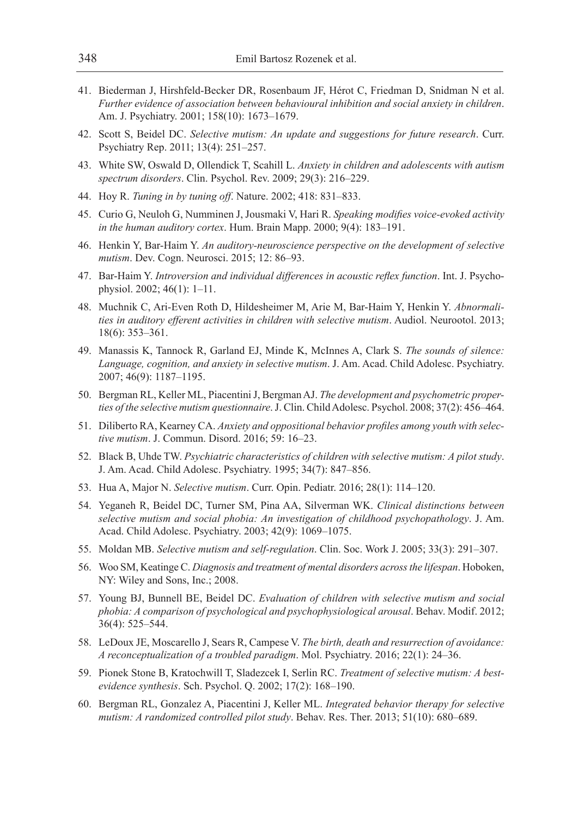- 41. Biederman J, Hirshfeld-Becker DR, Rosenbaum JF, Hérot C, Friedman D, Snidman N et al. *Further evidence of association between behavioural inhibition and social anxiety in children*. Am. J. Psychiatry. 2001; 158(10): 1673–1679.
- 42. Scott S, Beidel DC. *Selective mutism: An update and suggestions for future research*. Curr. Psychiatry Rep. 2011; 13(4): 251–257.
- 43. White SW, Oswald D, Ollendick T, Scahill L. *Anxiety in children and adolescents with autism spectrum disorders*. Clin. Psychol. Rev. 2009; 29(3): 216–229.
- 44. Hoy R. *Tuning in by tuning off*. Nature. 2002; 418: 831–833.
- 45. Curio G, Neuloh G, Numminen J, Jousmaki V, Hari R. *Speaking modifies voice-evoked activity in the human auditory cortex*. Hum. Brain Mapp. 2000; 9(4): 183–191.
- 46. Henkin Y, Bar-Haim Y. *An auditory-neuroscience perspective on the development of selective mutism*. Dev. Cogn. Neurosci. 2015; 12: 86–93.
- 47. Bar-Haim Y. *Introversion and individual differences in acoustic reflex function*. Int. J. Psychophysiol. 2002; 46(1): 1–11.
- 48. Muchnik C, Ari-Even Roth D, Hildesheimer M, Arie M, Bar-Haim Y, Henkin Y. *Abnormalities in auditory efferent activities in children with selective mutism*. Audiol. Neurootol. 2013; 18(6): 353–361.
- 49. Manassis K, Tannock R, Garland EJ, Minde K, McInnes A, Clark S. *The sounds of silence: Language, cognition, and anxiety in selective mutism*. J. Am. Acad. Child Adolesc. Psychiatry. 2007; 46(9): 1187–1195.
- 50. Bergman RL, Keller ML, Piacentini J, Bergman AJ. *The development and psychometric properties of the selective mutism questionnaire*. J. Clin. Child Adolesc. Psychol. 2008; 37(2): 456–464.
- 51. Diliberto RA, Kearney CA. *Anxiety and oppositional behavior profiles among youth with selective mutism*. J. Commun. Disord. 2016; 59: 16–23.
- 52. Black B, Uhde TW. *Psychiatric characteristics of children with selective mutism: A pilot study*. J. Am. Acad. Child Adolesc. Psychiatry. 1995; 34(7): 847–856.
- 53. Hua A, Major N. *Selective mutism*. Curr. Opin. Pediatr. 2016; 28(1): 114–120.
- 54. Yeganeh R, Beidel DC, Turner SM, Pina AA, Silverman WK. *Clinical distinctions between selective mutism and social phobia: An investigation of childhood psychopathology*. J. Am. Acad. Child Adolesc. Psychiatry. 2003; 42(9): 1069–1075.
- 55. Moldan MB. *Selective mutism and self-regulation*. Clin. Soc. Work J. 2005; 33(3): 291–307.
- 56. Woo SM, Keatinge C. *Diagnosis and treatment of mental disorders across the lifespan*. Hoboken, NY: Wiley and Sons, Inc.; 2008.
- 57. Young BJ, Bunnell BE, Beidel DC. *Evaluation of children with selective mutism and social phobia: A comparison of psychological and psychophysiological arousal*. Behav. Modif. 2012; 36(4): 525–544.
- 58. LeDoux JE, Moscarello J, Sears R, Campese V. *The birth, death and resurrection of avoidance: A reconceptualization of a troubled paradigm*. Mol. Psychiatry. 2016; 22(1): 24–36.
- 59. Pionek Stone B, Kratochwill T, Sladezcek I, Serlin RC. *Treatment of selective mutism: A bestevidence synthesis*. Sch. Psychol. Q. 2002; 17(2): 168–190.
- 60. Bergman RL, Gonzalez A, Piacentini J, Keller ML. *Integrated behavior therapy for selective mutism: A randomized controlled pilot study*. Behav. Res. Ther. 2013; 51(10): 680–689.